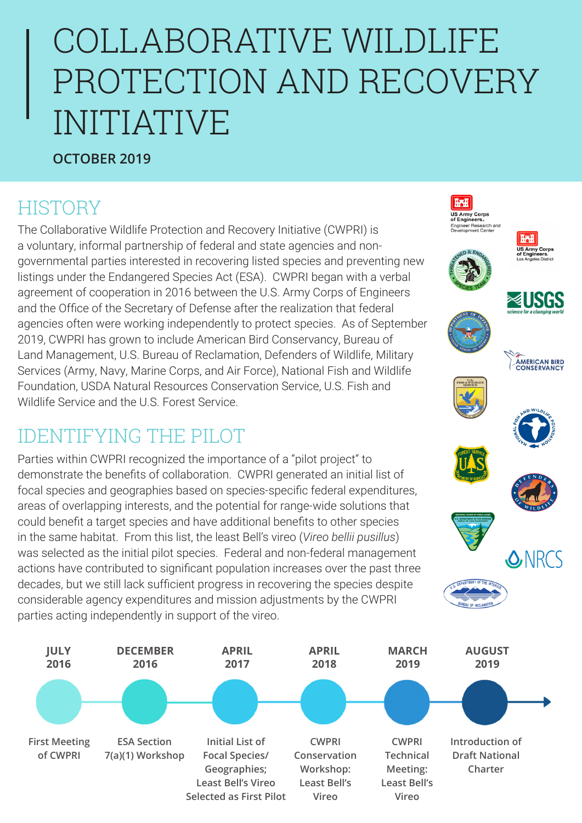# COLLABORATIVE WILDLIFE PROTECTION AND RECOVERY INITIATIVE

**HAH US Army Corps**<br>of Engineers. Engineer Research and<br>Development Center

**TAT** US Army Corps<br>of Engineers.<br>Los Angeles District

**AMERICAN BIRD**<br>CONSERVANCY

**SANRCS** 

#### **OCTOBER 2019**

## **HISTORY**

The Collaborative Wildlife Protection and Recovery Initiative (CWPRI) is a voluntary, informal partnership of federal and state agencies and nongovernmental parties interested in recovering listed species and preventing new listings under the Endangered Species Act (ESA). CWPRI began with a verbal agreement of cooperation in 2016 between the U.S. Army Corps of Engineers and the Office of the Secretary of Defense after the realization that federal agencies often were working independently to protect species. As of September 2019, CWPRI has grown to include American Bird Conservancy, Bureau of Land Management, U.S. Bureau of Reclamation, Defenders of Wildlife, Military Services (Army, Navy, Marine Corps, and Air Force), National Fish and Wildlife Foundation, USDA Natural Resources Conservation Service, U.S. Fish and Wildlife Service and the U.S. Forest Service.

#### IDENTIFYING THE PILOT

Parties within CWPRI recognized the importance of a "pilot project" to demonstrate the benefits of collaboration. CWPRI generated an initial list of focal species and geographies based on species-specific federal expenditures, areas of overlapping interests, and the potential for range-wide solutions that could benefit a target species and have additional benefits to other species in the same habitat. From this list, the least Bell's vireo (*Vireo bellii pusillus*) was selected as the initial pilot species. Federal and non-federal management actions have contributed to significant population increases over the past three decades, but we still lack sufficient progress in recovering the species despite considerable agency expenditures and mission adjustments by the CWPRI parties acting independently in support of the vireo.